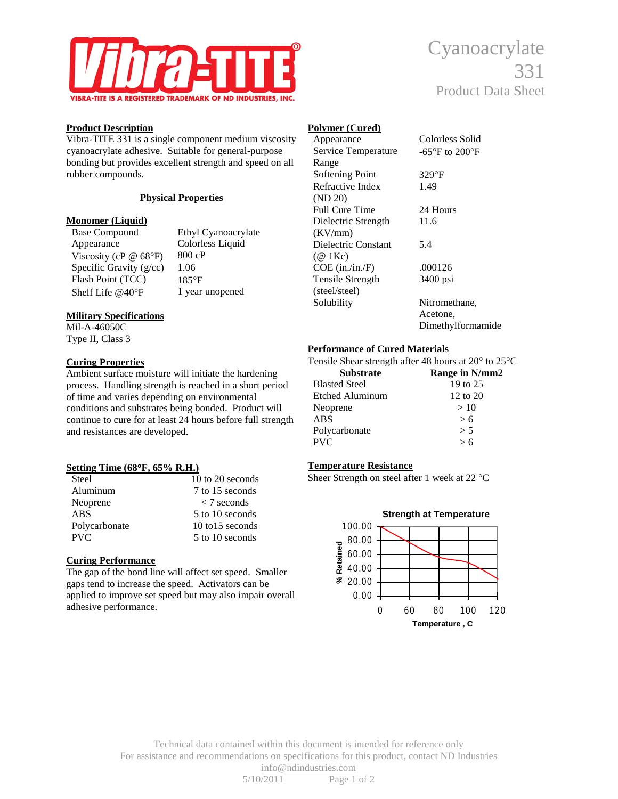

# **Product Description**

Vibra-TITE 331 is a single component medium viscosity cyanoacrylate adhesive. Suitable for general-purpose bonding but provides excellent strength and speed on all rubber compounds.

#### **Physical Properties**

# **Monomer (Liquid)**<br>Base Compound

Appearance Colorless Liquid Viscosity (cP @ 68°F) 800 cP<br>Specific Gravity (g/cc) 1.06 Specific Gravity  $(g/cc)$ . Flash Point (TCC) 185°F Shelf Life @40°F 1 year unopened

Ethyl Cyanoacrylate

# **Military Specifications**

Mil-A-46050C Type II, Class 3

#### **Curing Properties**

Ambient surface moisture will initiate the hardening process. Handling strength is reached in a short period of time and varies depending on environmental conditions and substrates being bonded. Product will continue to cure for at least 24 hours before full strength and resistances are developed.

# **Setting Time (68**°**F, 65% R.H.)**

| Steel         | 10 to 20 seconds            |
|---------------|-----------------------------|
| Aluminum      | 7 to 15 seconds             |
| Neoprene      | $\langle 7 \text{ seconds}$ |
| <b>ABS</b>    | 5 to 10 seconds             |
| Polycarbonate | $10$ to $15$ seconds        |
| <b>PVC</b>    | 5 to 10 seconds             |

# **Curing Performance**

The gap of the bond line will affect set speed. Smaller gaps tend to increase the speed. Activators can be applied to improve set speed but may also impair overall adhesive performance.

# Cyanoacrylate Product Data Sheet

# **Polymer (Cured)**

| Appearance            | Colorless Solid                     |
|-----------------------|-------------------------------------|
| Service Temperature   | $-65^{\circ}$ F to 200 $^{\circ}$ F |
| Range                 |                                     |
| Softening Point       | $329$ °F                            |
| Refractive Index      | 1.49                                |
| (ND 20)               |                                     |
| <b>Full Cure Time</b> | 24 Hours                            |
| Dielectric Strength   | 11.6                                |
| (KV/mm)               |                                     |
| Dielectric Constant   | 5.4                                 |
| $(\omega$ 1Kc)        |                                     |
| $COE$ (in./in./F)     | .000126                             |
| Tensile Strength      | 3400 psi                            |
| (steel/steel)         |                                     |
| Solubility            | Nitromethane,                       |
|                       | Acetone,                            |
|                       | Dimethylformamide                   |
|                       |                                     |

# **Performance of Cured Materials**

| Tensile Shear strength after 48 hours at $20^{\circ}$ to $25^{\circ}$ C |                     |
|-------------------------------------------------------------------------|---------------------|
| <b>Substrate</b>                                                        | Range in N/mm2      |
| <b>Blasted Steel</b>                                                    | 19 to 25            |
| Etched Aluminum                                                         | $12 \text{ to } 20$ |
| Neoprene                                                                | >10                 |
| <b>ABS</b>                                                              | > 6                 |
| Polycarbonate                                                           | > 5                 |
| <b>PVC</b>                                                              | > 6                 |
|                                                                         |                     |

# **Temperature Resistance**

Sheer Strength on steel after 1 week at 22 °C



Technical data contained within this document is intended for reference only For assistance and recommendations on specifications for this product, contact ND Industries [info@ndindustries.com](http://www.ndinfo@ndindustries.com/) 5/10/2011 Page 1 of 2